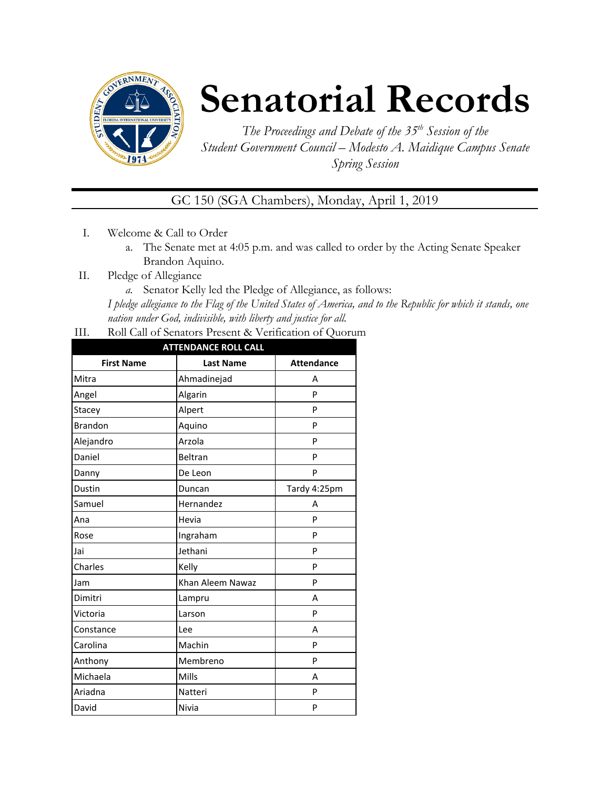

# **Senatorial Records**

*The Proceedings and Debate of the 35 th Session of the Student Government Council – Modesto A. Maidique Campus Senate Spring Session*

GC 150 (SGA Chambers), Monday, April 1, 2019

- I. Welcome & Call to Order
	- a. The Senate met at 4:05 p.m. and was called to order by the Acting Senate Speaker Brandon Aquino.
- II. Pledge of Allegiance
	- *a.* Senator Kelly led the Pledge of Allegiance, as follows:

*I pledge allegiance to the Flag of the United States of America, and to the Republic for which it stands, one nation under God, indivisible, with liberty and justice for all.*

III. Roll Call of Senators Present & Verification of Quorum

| <b>ATTENDANCE ROLL CALL</b> |                  |                   |  |  |
|-----------------------------|------------------|-------------------|--|--|
| <b>First Name</b>           | <b>Last Name</b> | <b>Attendance</b> |  |  |
| Mitra                       | Ahmadinejad      | А                 |  |  |
| Angel                       | Algarin          | P                 |  |  |
| Stacey                      | Alpert           | P                 |  |  |
| <b>Brandon</b>              | Aquino           | P                 |  |  |
| Alejandro                   | Arzola           | P                 |  |  |
| Daniel                      | Beltran          | P                 |  |  |
| Danny                       | De Leon          | P                 |  |  |
| Dustin                      | Duncan           | Tardy 4:25pm      |  |  |
| Samuel                      | Hernandez        | A                 |  |  |
| Ana                         | Hevia            | P                 |  |  |
| Rose                        | Ingraham         | P                 |  |  |
| Jai                         | Jethani          | P                 |  |  |
| Charles                     | Kelly            | P                 |  |  |
| Jam                         | Khan Aleem Nawaz | P                 |  |  |
| Dimitri                     | Lampru           | А                 |  |  |
| Victoria                    | Larson           | P                 |  |  |
| Constance                   | Lee              | A                 |  |  |
| Carolina                    | Machin           | P                 |  |  |
| Anthony                     | Membreno         | P                 |  |  |
| Michaela                    | Mills            | А                 |  |  |
| Ariadna                     | Natteri          | P                 |  |  |
| David                       | Nivia            | P                 |  |  |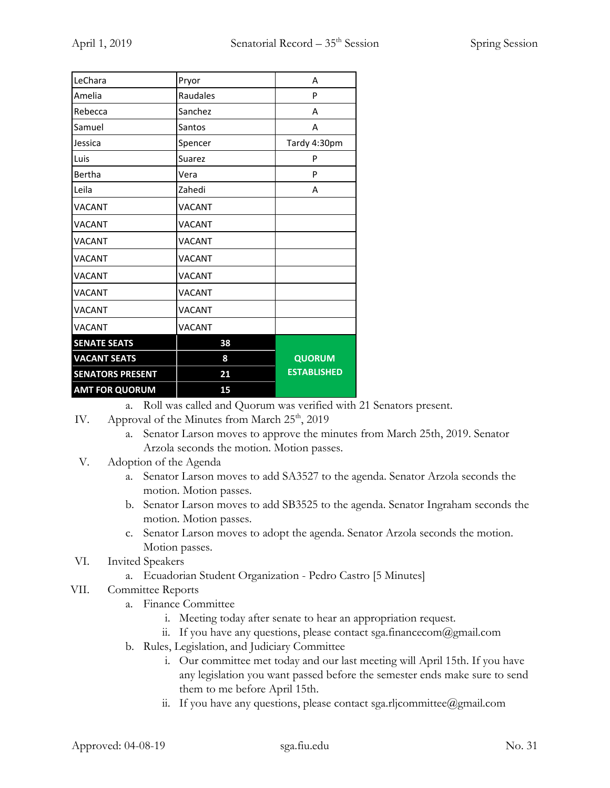| LeChara                 | Pryor         | A                  |
|-------------------------|---------------|--------------------|
| Amelia                  | Raudales      | P                  |
| Rebecca                 | Sanchez       | A                  |
| Samuel                  | Santos        | A                  |
| Jessica                 | Spencer       | Tardy 4:30pm       |
| Luis                    | <b>Suarez</b> | P                  |
| Bertha                  | Vera          | P                  |
| Leila                   | Zahedi        | А                  |
| <b>VACANT</b>           | <b>VACANT</b> |                    |
| <b>VACANT</b>           | <b>VACANT</b> |                    |
| <b>VACANT</b>           | <b>VACANT</b> |                    |
| <b>VACANT</b>           | <b>VACANT</b> |                    |
| <b>VACANT</b>           | <b>VACANT</b> |                    |
| <b>VACANT</b>           | <b>VACANT</b> |                    |
| <b>VACANT</b>           | <b>VACANT</b> |                    |
| <b>VACANT</b>           | VACANT        |                    |
| <b>SENATE SEATS</b>     | 38            |                    |
| <b>VACANT SEATS</b>     | 8             | <b>QUORUM</b>      |
| <b>SENATORS PRESENT</b> | 21            | <b>ESTABLISHED</b> |
| <b>AMT FOR QUORUM</b>   | 15            |                    |

a. Roll was called and Quorum was verified with 21 Senators present.

- IV. Approval of the Minutes from March  $25<sup>th</sup>$ , 2019
	- a. Senator Larson moves to approve the minutes from March 25th, 2019. Senator Arzola seconds the motion. Motion passes.
- V. Adoption of the Agenda
	- a. Senator Larson moves to add SA3527 to the agenda. Senator Arzola seconds the motion. Motion passes.
	- b. Senator Larson moves to add SB3525 to the agenda. Senator Ingraham seconds the motion. Motion passes.
	- c. Senator Larson moves to adopt the agenda. Senator Arzola seconds the motion. Motion passes.
- VI. Invited Speakers
	- a. Ecuadorian Student Organization Pedro Castro [5 Minutes]
- VII. Committee Reports
	- a. Finance Committee
		- i. Meeting today after senate to hear an appropriation request.
		- ii. If you have any questions, please contact sga.financecom@gmail.com
	- b. Rules, Legislation, and Judiciary Committee
		- i. Our committee met today and our last meeting will April 15th. If you have any legislation you want passed before the semester ends make sure to send them to me before April 15th.
		- ii. If you have any questions, please contact sga.rljcommittee@gmail.com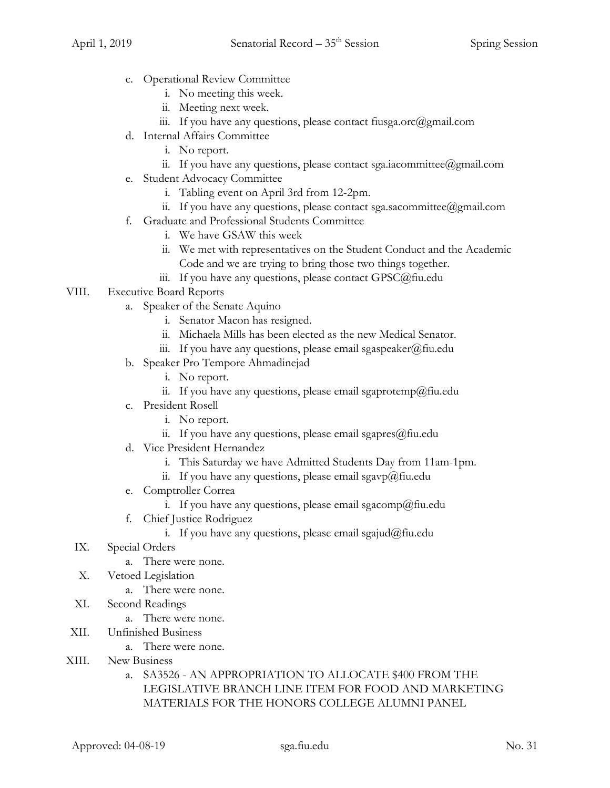- c. Operational Review Committee
	- i. No meeting this week.
	- ii. Meeting next week.
	- iii. If you have any questions, please contact fiusga.orc@gmail.com
- d. Internal Affairs Committee
	- i. No report.
	- ii. If you have any questions, please contact sga.iacommittee@gmail.com
- e. Student Advocacy Committee
	- i. Tabling event on April 3rd from 12-2pm.
	- ii. If you have any questions, please contact sga.sacommittee@gmail.com
- f. Graduate and Professional Students Committee
	- i. We have GSAW this week
	- ii. We met with representatives on the Student Conduct and the Academic
		- Code and we are trying to bring those two things together.
	- iii. If you have any questions, please contact GPSC@fiu.edu
- VIII. Executive Board Reports
	- a. Speaker of the Senate Aquino
		- i. Senator Macon has resigned.
		- ii. Michaela Mills has been elected as the new Medical Senator.
		- iii. If you have any questions, please email sgaspeaker@fiu.edu
	- b. Speaker Pro Tempore Ahmadinejad
		- i. No report.
		- ii. If you have any questions, please email sgaprotemp@fiu.edu
	- c. President Rosell
		- i. No report.
		- ii. If you have any questions, please email sgapres $@$ fiu.edu
	- d. Vice President Hernandez
		- i. This Saturday we have Admitted Students Day from 11am-1pm.
		- ii. If you have any questions, please email sgavp@fiu.edu
	- e. Comptroller Correa
		- i. If you have any questions, please email sgacomp@fiu.edu
	- f. Chief Justice Rodriguez
		- i. If you have any questions, please email sgajud@fiu.edu
	- IX. Special Orders
		- a. There were none.
	- X. Vetoed Legislation
		- a. There were none.
	- XI. Second Readings
		- a. There were none.
- XII. Unfinished Business
	- a. There were none.
- XIII. New Business
	- a. SA3526 AN APPROPRIATION TO ALLOCATE \$400 FROM THE LEGISLATIVE BRANCH LINE ITEM FOR FOOD AND MARKETING MATERIALS FOR THE HONORS COLLEGE ALUMNI PANEL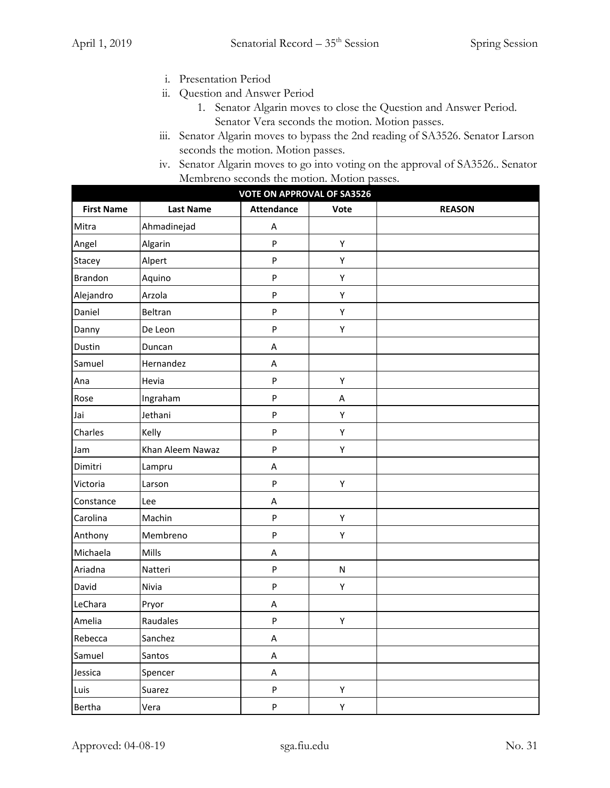- i. Presentation Period
- ii. Question and Answer Period
	- 1. Senator Algarin moves to close the Question and Answer Period. Senator Vera seconds the motion. Motion passes.
- iii. Senator Algarin moves to bypass the 2nd reading of SA3526. Senator Larson seconds the motion. Motion passes.
- iv. Senator Algarin moves to go into voting on the approval of SA3526.. Senator Membreno seconds the motion. Motion passes.

| <b>VOTE ON APPROVAL OF SA3526</b> |                  |                   |           |               |  |
|-----------------------------------|------------------|-------------------|-----------|---------------|--|
| <b>First Name</b>                 | <b>Last Name</b> | <b>Attendance</b> | Vote      | <b>REASON</b> |  |
| Mitra                             | Ahmadinejad      | A                 |           |               |  |
| Angel                             | Algarin          | P                 | Υ         |               |  |
| Stacey                            | Alpert           | P                 | Υ         |               |  |
| <b>Brandon</b>                    | Aquino           | P                 | Υ         |               |  |
| Alejandro                         | Arzola           | P                 | Υ         |               |  |
| Daniel                            | Beltran          | P                 | Υ         |               |  |
| Danny                             | De Leon          | P                 | Υ         |               |  |
| Dustin                            | Duncan           | A                 |           |               |  |
| Samuel                            | Hernandez        | A                 |           |               |  |
| Ana                               | Hevia            | P                 | Υ         |               |  |
| Rose                              | Ingraham         | P                 | A         |               |  |
| Jai                               | Jethani          | P                 | Υ         |               |  |
| Charles                           | Kelly            | P                 | Υ         |               |  |
| Jam                               | Khan Aleem Nawaz | P                 | Υ         |               |  |
| Dimitri                           | Lampru           | A                 |           |               |  |
| Victoria                          | Larson           | P                 | Υ         |               |  |
| Constance                         | Lee              | A                 |           |               |  |
| Carolina                          | Machin           | P                 | Υ         |               |  |
| Anthony                           | Membreno         | P                 | Υ         |               |  |
| Michaela                          | Mills            | A                 |           |               |  |
| Ariadna                           | Natteri          | P                 | ${\sf N}$ |               |  |
| David                             | Nivia            | P                 | Υ         |               |  |
| LeChara                           | Pryor            | A                 |           |               |  |
| Amelia                            | Raudales         | P                 | Υ         |               |  |
| Rebecca                           | Sanchez          | A                 |           |               |  |
| Samuel                            | Santos           | $\mathsf A$       |           |               |  |
| Jessica                           | Spencer          | $\mathsf A$       |           |               |  |
| Luis                              | Suarez           | P                 | Υ         |               |  |
| Bertha                            | Vera             | P                 | Υ         |               |  |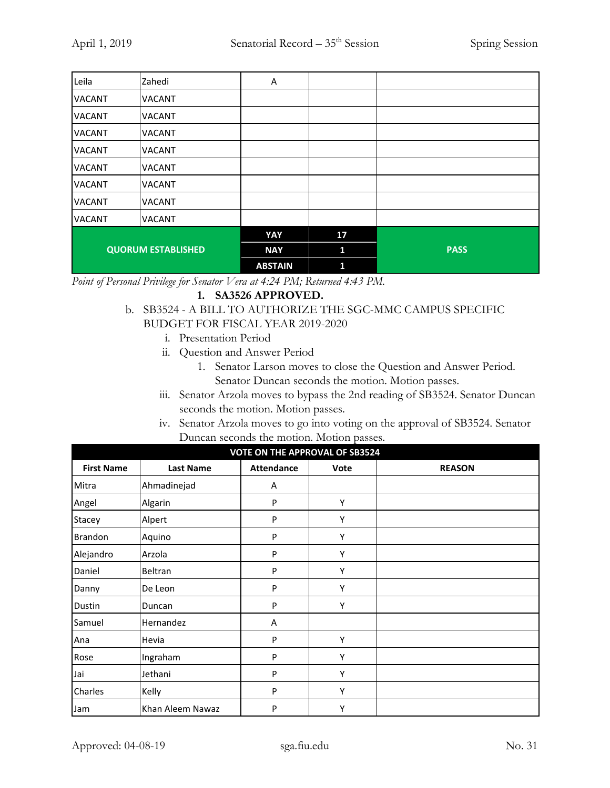| Leila                     | Zahedi        | Α              |              |             |
|---------------------------|---------------|----------------|--------------|-------------|
| <b>VACANT</b>             | <b>VACANT</b> |                |              |             |
| <b>VACANT</b>             | <b>VACANT</b> |                |              |             |
| <b>VACANT</b>             | <b>VACANT</b> |                |              |             |
| <b>VACANT</b>             | <b>VACANT</b> |                |              |             |
| <b>VACANT</b>             | <b>VACANT</b> |                |              |             |
| <b>VACANT</b>             | <b>VACANT</b> |                |              |             |
| <b>VACANT</b>             | <b>VACANT</b> |                |              |             |
| <b>VACANT</b>             | <b>VACANT</b> |                |              |             |
|                           |               | YAY            | 17           |             |
| <b>QUORUM ESTABLISHED</b> |               | <b>NAY</b>     | $\mathbf{1}$ | <b>PASS</b> |
|                           |               | <b>ABSTAIN</b> | 1            |             |

*Point of Personal Privilege for Senator Vera at 4:24 PM; Returned 4:43 PM.*

## **1. SA3526 APPROVED.**

- b. SB3524 A BILL TO AUTHORIZE THE SGC-MMC CAMPUS SPECIFIC BUDGET FOR FISCAL YEAR 2019-2020
	- i. Presentation Period
	- ii. Question and Answer Period
		- 1. Senator Larson moves to close the Question and Answer Period. Senator Duncan seconds the motion. Motion passes.
	- iii. Senator Arzola moves to bypass the 2nd reading of SB3524. Senator Duncan seconds the motion. Motion passes.
	- iv. Senator Arzola moves to go into voting on the approval of SB3524. Senator Duncan seconds the motion. Motion passes.

| <b>VOTE ON THE APPROVAL OF SB3524</b> |                  |                   |             |               |  |
|---------------------------------------|------------------|-------------------|-------------|---------------|--|
| <b>First Name</b>                     | <b>Last Name</b> | <b>Attendance</b> | <b>Vote</b> | <b>REASON</b> |  |
| Mitra                                 | Ahmadinejad      | Α                 |             |               |  |
| Angel                                 | Algarin          | P                 | Υ           |               |  |
| Stacey                                | Alpert           | P                 | Υ           |               |  |
| Brandon                               | Aquino           | P                 | Υ           |               |  |
| Alejandro                             | Arzola           | P                 | Υ           |               |  |
| Daniel                                | Beltran          | P                 | Υ           |               |  |
| Danny                                 | De Leon          | P                 | Υ           |               |  |
| Dustin                                | Duncan           | P                 | Υ           |               |  |
| Samuel                                | Hernandez        | Α                 |             |               |  |
| Ana                                   | Hevia            | P                 | Υ           |               |  |
| Rose                                  | Ingraham         | P                 | Υ           |               |  |
| Jai                                   | Jethani          | P                 | Y           |               |  |
| Charles                               | Kelly            | P                 | Υ           |               |  |
| Jam                                   | Khan Aleem Nawaz | P                 | Υ           |               |  |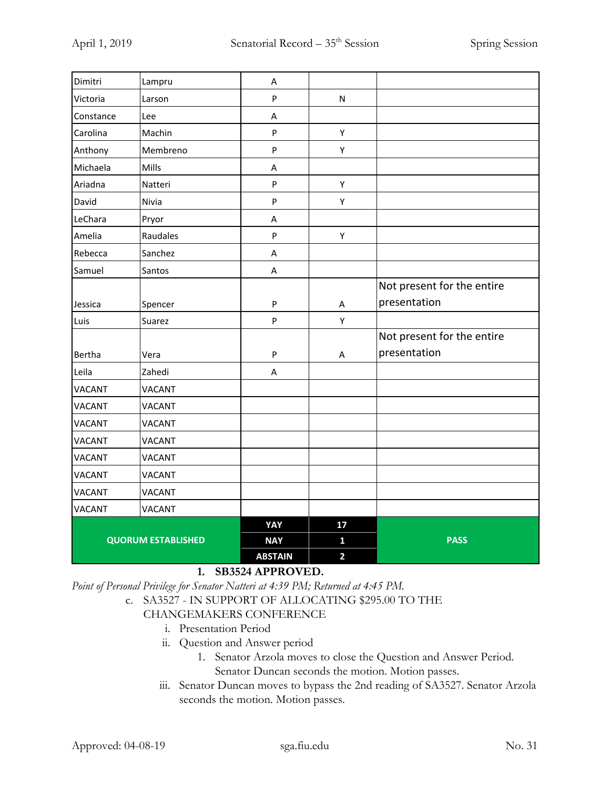| Dimitri       | Lampru                    | Α                                               |                         |                            |
|---------------|---------------------------|-------------------------------------------------|-------------------------|----------------------------|
| Victoria      | Larson                    | $\sf P$                                         | ${\sf N}$               |                            |
| Constance     | Lee                       | A                                               |                         |                            |
| Carolina      | Machin                    | $\mathsf{P}$                                    | Υ                       |                            |
| Anthony       | Membreno                  | ${\sf P}$                                       | Υ                       |                            |
| Michaela      | Mills                     | A                                               |                         |                            |
| Ariadna       | Natteri                   | $\mathsf{P}$                                    | Υ                       |                            |
| David         | Nivia                     | $\mathsf{P}$                                    | Υ                       |                            |
| LeChara       | Pryor                     | A                                               |                         |                            |
| Amelia        | Raudales                  | $\sf P$                                         | Υ                       |                            |
| Rebecca       | Sanchez                   | A                                               |                         |                            |
| Samuel        | Santos                    | A                                               |                         |                            |
|               |                           |                                                 |                         | Not present for the entire |
| Jessica       | Spencer                   | $\sf P$                                         | A                       | presentation               |
| Luis          | Suarez                    | $\mathsf{P}$                                    | Υ                       |                            |
|               |                           |                                                 |                         | Not present for the entire |
| Bertha        | Vera                      | $\sf P$                                         | Α                       | presentation               |
| Leila         | Zahedi                    | A                                               |                         |                            |
| VACANT        | <b>VACANT</b>             |                                                 |                         |                            |
| <b>VACANT</b> | <b>VACANT</b>             |                                                 |                         |                            |
| <b>VACANT</b> | <b>VACANT</b>             |                                                 |                         |                            |
| <b>VACANT</b> | <b>VACANT</b>             |                                                 |                         |                            |
| <b>VACANT</b> | <b>VACANT</b>             |                                                 |                         |                            |
| <b>VACANT</b> | <b>VACANT</b>             |                                                 |                         |                            |
| <b>VACANT</b> | <b>VACANT</b>             |                                                 |                         |                            |
| <b>VACANT</b> | <b>VACANT</b>             |                                                 |                         |                            |
|               |                           | YAY                                             | 17                      |                            |
|               | <b>QUORUM ESTABLISHED</b> | <b>NAY</b>                                      | $\mathbf{1}$            | <b>PASS</b>                |
|               |                           | <b>ABSTAIN</b><br>$\overline{A}$ $\overline{A}$ | $\overline{\mathbf{2}}$ |                            |

# **1. SB3524 APPROVED.**

*Point of Personal Privilege for Senator Natteri at 4:39 PM; Returned at 4:45 PM.*

c. SA3527 - IN SUPPORT OF ALLOCATING \$295.00 TO THE

## CHANGEMAKERS CONFERENCE

- i. Presentation Period
- ii. Question and Answer period
	- 1. Senator Arzola moves to close the Question and Answer Period. Senator Duncan seconds the motion. Motion passes.
- iii. Senator Duncan moves to bypass the 2nd reading of SA3527. Senator Arzola seconds the motion. Motion passes.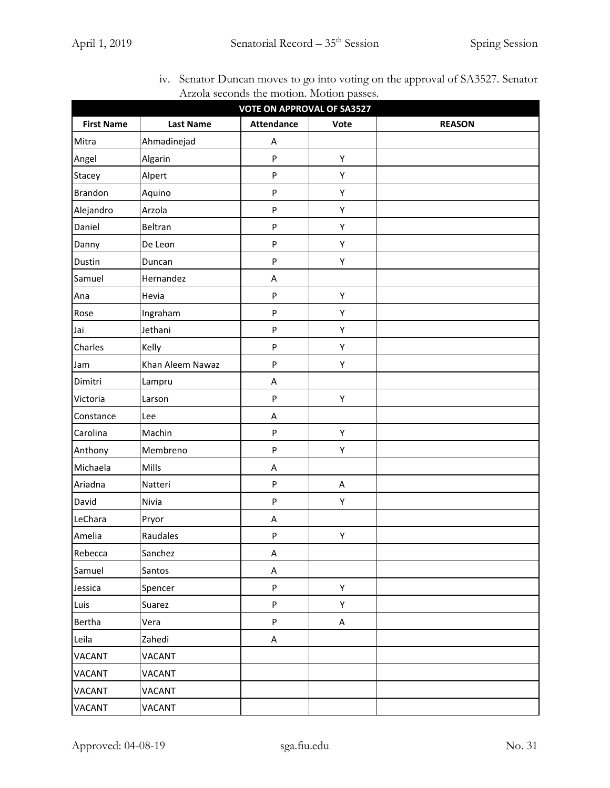| Trizola seconds the motion. Motion passes.<br><b>VOTE ON APPROVAL OF SA3527</b> |                  |                   |      |               |  |
|---------------------------------------------------------------------------------|------------------|-------------------|------|---------------|--|
| <b>First Name</b>                                                               | <b>Last Name</b> | <b>Attendance</b> | Vote | <b>REASON</b> |  |
| Mitra                                                                           | Ahmadinejad      | A                 |      |               |  |
| Angel                                                                           | Algarin          | $\sf P$           | Υ    |               |  |
| Stacey                                                                          | Alpert           | $\sf P$           | Υ    |               |  |
| <b>Brandon</b>                                                                  | Aquino           | $\sf P$           | Υ    |               |  |
| Alejandro                                                                       | Arzola           | ${\sf P}$         | Υ    |               |  |
| Daniel                                                                          | Beltran          | $\sf P$           | Υ    |               |  |
| Danny                                                                           | De Leon          | $\mathsf{P}$      | Υ    |               |  |
| Dustin                                                                          | Duncan           | $\sf P$           | Υ    |               |  |
| Samuel                                                                          | Hernandez        | A                 |      |               |  |
| Ana                                                                             | Hevia            | ${\sf P}$         | Υ    |               |  |
| Rose                                                                            | Ingraham         | $\sf P$           | Υ    |               |  |
| Jai                                                                             | Jethani          | $\sf P$           | Υ    |               |  |
| Charles                                                                         | Kelly            | $\sf P$           | Υ    |               |  |
| Jam                                                                             | Khan Aleem Nawaz | ${\sf P}$         | Υ    |               |  |
| Dimitri                                                                         | Lampru           | A                 |      |               |  |
| Victoria                                                                        | Larson           | $\sf P$           | Υ    |               |  |
| Constance                                                                       | Lee              | A                 |      |               |  |
| Carolina                                                                        | Machin           | $\sf P$           | Υ    |               |  |
| Anthony                                                                         | Membreno         | ${\sf P}$         | Υ    |               |  |
| Michaela                                                                        | Mills            | A                 |      |               |  |
| Ariadna                                                                         | Natteri          | $\sf P$           | A    |               |  |
| David                                                                           | Nivia            | $\sf P$           | Υ    |               |  |
| LeChara                                                                         | Pryor            | A                 |      |               |  |
| Amelia                                                                          | Raudales         | $\sf P$           | Υ    |               |  |
| Rebecca                                                                         | Sanchez          | A                 |      |               |  |
| Samuel                                                                          | Santos           | A                 |      |               |  |
| Jessica                                                                         | Spencer          | ${\sf P}$         | Υ    |               |  |
| Luis                                                                            | Suarez           | $\sf P$           | Υ    |               |  |
| Bertha                                                                          | Vera             | ${\sf P}$         | A    |               |  |
| Leila                                                                           | Zahedi           | A                 |      |               |  |
| VACANT                                                                          | VACANT           |                   |      |               |  |
| <b>VACANT</b>                                                                   | <b>VACANT</b>    |                   |      |               |  |
| VACANT                                                                          | VACANT           |                   |      |               |  |
| VACANT                                                                          | <b>VACANT</b>    |                   |      |               |  |

iv. Senator Duncan moves to go into voting on the approval of SA3527. Senator Arzola seconds the motion. Motion passes.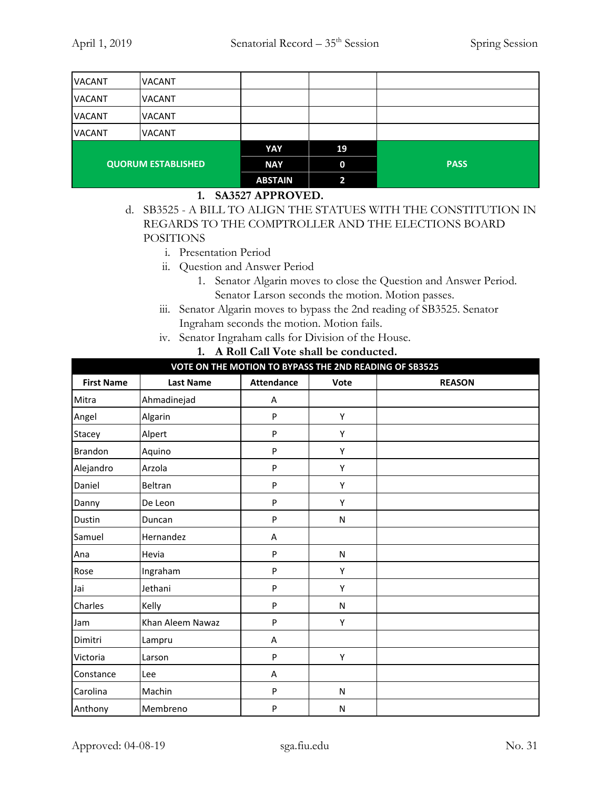| <b>VACANT</b>             | <b>VACANT</b> |                |             |             |
|---------------------------|---------------|----------------|-------------|-------------|
| <b>VACANT</b>             | <b>VACANT</b> |                |             |             |
| <b>VACANT</b>             | <b>VACANT</b> |                |             |             |
| <b>VACANT</b>             | <b>VACANT</b> |                |             |             |
|                           |               | YAY            | 19          |             |
| <b>QUORUM ESTABLISHED</b> |               | <b>NAY</b>     | $\mathbf 0$ | <b>PASS</b> |
|                           |               | <b>ABSTAIN</b> | 2           |             |

#### **1. SA3527 APPROVED.**

- d. SB3525 A BILL TO ALIGN THE STATUES WITH THE CONSTITUTION IN REGARDS TO THE COMPTROLLER AND THE ELECTIONS BOARD POSITIONS
	- i. Presentation Period
	- ii. Question and Answer Period
		- 1. Senator Algarin moves to close the Question and Answer Period. Senator Larson seconds the motion. Motion passes.
	- iii. Senator Algarin moves to bypass the 2nd reading of SB3525. Senator Ingraham seconds the motion. Motion fails.
	- iv. Senator Ingraham calls for Division of the House.

|  |  |  |  |  |  | 1. A Roll Call Vote shall be conducted. |
|--|--|--|--|--|--|-----------------------------------------|
|--|--|--|--|--|--|-----------------------------------------|

| VOTE ON THE MOTION TO BYPASS THE 2ND READING OF SB3525 |                  |                   |              |               |  |
|--------------------------------------------------------|------------------|-------------------|--------------|---------------|--|
| <b>First Name</b>                                      | <b>Last Name</b> | <b>Attendance</b> | Vote         | <b>REASON</b> |  |
| Mitra                                                  | Ahmadinejad      | Α                 |              |               |  |
| Angel                                                  | Algarin          | P                 | Υ            |               |  |
| Stacey                                                 | Alpert           | P                 | Y            |               |  |
| Brandon                                                | Aquino           | P                 | Υ            |               |  |
| Alejandro                                              | Arzola           | P                 | Υ            |               |  |
| Daniel                                                 | Beltran          | P                 | Y            |               |  |
| Danny                                                  | De Leon          | P                 | Υ            |               |  |
| Dustin                                                 | Duncan           | P                 | ${\sf N}$    |               |  |
| Samuel                                                 | Hernandez        | A                 |              |               |  |
| Ana                                                    | Hevia            | P                 | ${\sf N}$    |               |  |
| Rose                                                   | Ingraham         | P                 | Y            |               |  |
| Jai                                                    | Jethani          | P                 | Υ            |               |  |
| Charles                                                | Kelly            | P                 | ${\sf N}$    |               |  |
| Jam                                                    | Khan Aleem Nawaz | P                 | Υ            |               |  |
| Dimitri                                                | Lampru           | Α                 |              |               |  |
| Victoria                                               | Larson           | P                 | Υ            |               |  |
| Constance                                              | Lee              | A                 |              |               |  |
| Carolina                                               | Machin           | P                 | $\mathsf{N}$ |               |  |
| Anthony                                                | Membreno         | P                 | N            |               |  |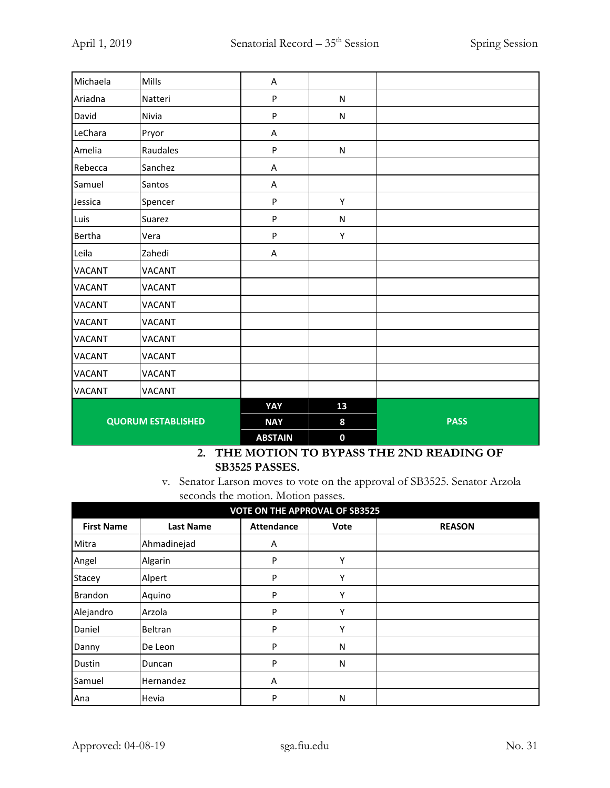| Michaela                  | Mills         | A              |             |             |
|---------------------------|---------------|----------------|-------------|-------------|
| Ariadna                   | Natteri       | ${\sf P}$      | ${\sf N}$   |             |
| David                     | Nivia         | ${\sf P}$      | ${\sf N}$   |             |
| LeChara                   | Pryor         | Α              |             |             |
| Amelia                    | Raudales      | P              | ${\sf N}$   |             |
| Rebecca                   | Sanchez       | Α              |             |             |
| Samuel                    | Santos        | Α              |             |             |
| Jessica                   | Spencer       | $\sf P$        | Υ           |             |
| Luis                      | Suarez        | P              | ${\sf N}$   |             |
| Bertha                    | Vera          | ${\sf P}$      | Υ           |             |
| Leila                     | Zahedi        | Α              |             |             |
| <b>VACANT</b>             | <b>VACANT</b> |                |             |             |
| <b>VACANT</b>             | <b>VACANT</b> |                |             |             |
| <b>VACANT</b>             | <b>VACANT</b> |                |             |             |
| <b>VACANT</b>             | <b>VACANT</b> |                |             |             |
| <b>VACANT</b>             | <b>VACANT</b> |                |             |             |
| <b>VACANT</b>             | <b>VACANT</b> |                |             |             |
| <b>VACANT</b>             | <b>VACANT</b> |                |             |             |
| <b>VACANT</b>             | <b>VACANT</b> |                |             |             |
| <b>QUORUM ESTABLISHED</b> |               | YAY            | 13          |             |
|                           |               | <b>NAY</b>     | 8           | <b>PASS</b> |
|                           |               | <b>ABSTAIN</b> | $\mathbf 0$ |             |

#### **2. THE MOTION TO BYPASS THE 2ND READING OF SB3525 PASSES.**

v. Senator Larson moves to vote on the approval of SB3525. Senator Arzola seconds the motion. Motion passes.

| <b>VOTE ON THE APPROVAL OF SB3525</b>                                               |             |   |   |  |  |  |  |
|-------------------------------------------------------------------------------------|-------------|---|---|--|--|--|--|
| <b>Attendance</b><br><b>First Name</b><br><b>REASON</b><br><b>Last Name</b><br>Vote |             |   |   |  |  |  |  |
| Mitra                                                                               | Ahmadinejad | Α |   |  |  |  |  |
| Angel                                                                               | Algarin     | P | γ |  |  |  |  |
| Stacey                                                                              | Alpert      | P | Υ |  |  |  |  |
| <b>Brandon</b>                                                                      | Aquino      | P | Υ |  |  |  |  |
| Alejandro                                                                           | Arzola      | P | Υ |  |  |  |  |
| Daniel                                                                              | Beltran     | P | Υ |  |  |  |  |
| Danny                                                                               | De Leon     | P | N |  |  |  |  |
| <b>Dustin</b>                                                                       | Duncan      | P | N |  |  |  |  |
| Samuel                                                                              | Hernandez   | A |   |  |  |  |  |
| Ana                                                                                 | Hevia       | P | Ν |  |  |  |  |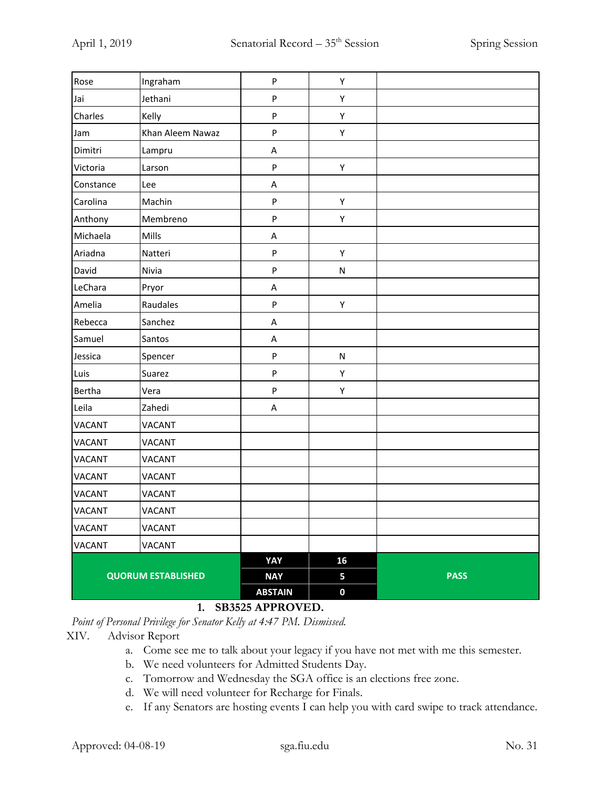| <b>QUORUM ESTABLISHED</b> |                  | <b>ABSTAIN</b> | $\pmb{0}$ |             |
|---------------------------|------------------|----------------|-----------|-------------|
|                           |                  | <b>NAY</b>     | 5         | <b>PASS</b> |
|                           |                  | YAY            | 16        |             |
| <b>VACANT</b>             | VACANT           |                |           |             |
| VACANT                    | VACANT           |                |           |             |
| <b>VACANT</b>             | <b>VACANT</b>    |                |           |             |
| VACANT                    | <b>VACANT</b>    |                |           |             |
| <b>VACANT</b>             | VACANT           |                |           |             |
| <b>VACANT</b>             | <b>VACANT</b>    |                |           |             |
| VACANT                    | VACANT           |                |           |             |
| <b>VACANT</b>             | <b>VACANT</b>    |                |           |             |
| Leila                     | Zahedi           | А              |           |             |
| Bertha                    | Vera             | ${\sf P}$      | Υ         |             |
| Luis                      | Suarez           | ${\sf P}$      | Υ         |             |
| Jessica                   | Spencer          | ${\sf P}$      | ${\sf N}$ |             |
| Samuel                    | Santos           | А              |           |             |
| Rebecca                   | Sanchez          | А              |           |             |
| Amelia                    | Raudales         | ${\sf P}$      | Υ         |             |
| LeChara                   | Pryor            | А              |           |             |
| David                     | Nivia            | ${\sf P}$      | ${\sf N}$ |             |
| Ariadna                   | Natteri          | ${\sf P}$      | Υ         |             |
| Michaela                  | Mills            | А              |           |             |
| Anthony                   | Membreno         | ${\sf P}$      | Υ         |             |
| Carolina                  | Machin           | ${\sf P}$      | Υ         |             |
| Constance                 | Lee              | А              |           |             |
| Victoria                  | Larson           | ${\sf P}$      | Υ         |             |
| Dimitri                   | Lampru           | А              |           |             |
| Jam                       | Khan Aleem Nawaz | ${\sf P}$      | Υ         |             |
| Charles                   | Kelly            | ${\sf P}$      | Υ         |             |
| Jai                       | Jethani          | ${\sf P}$      | Υ         |             |
| Rose                      | Ingraham         | ${\sf P}$      | Υ         |             |

# **1. SB3525 APPROVED.**

*Point of Personal Privilege for Senator Kelly at 4:47 PM. Dismissed.*

#### XIV. Advisor Report

- a. Come see me to talk about your legacy if you have not met with me this semester.
- b. We need volunteers for Admitted Students Day.
- c. Tomorrow and Wednesday the SGA office is an elections free zone.
- d. We will need volunteer for Recharge for Finals.
- e. If any Senators are hosting events I can help you with card swipe to track attendance.